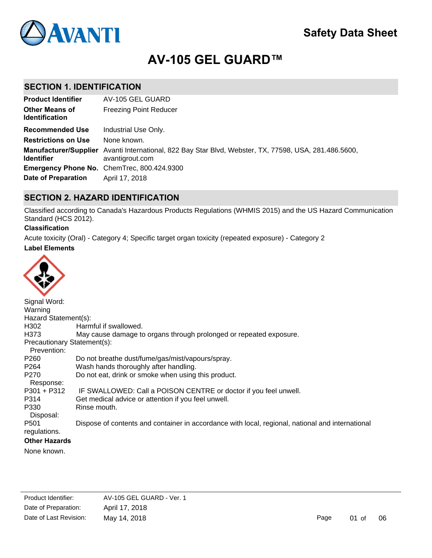# **AV-105 GEL GUARD™**

## **SECTION 1. IDENTIFICATION**

| <b>Product Identifier</b>                      | AV-105 GEL GUARD                                                                                                         |
|------------------------------------------------|--------------------------------------------------------------------------------------------------------------------------|
| <b>Other Means of</b><br><b>Identification</b> | <b>Freezing Point Reducer</b>                                                                                            |
| <b>Recommended Use</b>                         | Industrial Use Only.                                                                                                     |
| <b>Restrictions on Use</b>                     | None known.                                                                                                              |
| <b>Identifier</b>                              | Manufacturer/Supplier Avanti International, 822 Bay Star Blvd, Webster, TX, 77598, USA, 281.486.5600,<br>avantigrout.com |
|                                                | Emergency Phone No. ChemTrec, 800.424.9300                                                                               |
| Date of Preparation                            | April 17, 2018                                                                                                           |

## **SECTION 2. HAZARD IDENTIFICATION**

Classified according to Canada's Hazardous Products Regulations (WHMIS 2015) and the US Hazard Communication Standard (HCS 2012).

## **Classification**

Acute toxicity (Oral) - Category 4; Specific target organ toxicity (repeated exposure) - Category 2

## **Label Elements**



| Signal Word:                |                                                                                                  |
|-----------------------------|--------------------------------------------------------------------------------------------------|
| Warning                     |                                                                                                  |
| Hazard Statement(s):        |                                                                                                  |
| H302                        | Harmful if swallowed.                                                                            |
| H373                        | May cause damage to organs through prolonged or repeated exposure.                               |
| Precautionary Statement(s): |                                                                                                  |
| Prevention:                 |                                                                                                  |
| P260                        | Do not breathe dust/fume/gas/mist/vapours/spray.                                                 |
| P264                        | Wash hands thoroughly after handling.                                                            |
| P <sub>270</sub>            | Do not eat, drink or smoke when using this product.                                              |
| Response:                   |                                                                                                  |
| $P301 + P312$               | IF SWALLOWED: Call a POISON CENTRE or doctor if you feel unwell.                                 |
| P314                        | Get medical advice or attention if you feel unwell.                                              |
| P330                        | Rinse mouth.                                                                                     |
| Disposal:                   |                                                                                                  |
| P <sub>501</sub>            | Dispose of contents and container in accordance with local, regional, national and international |
| regulations.                |                                                                                                  |
| <b>Other Hazards</b>        |                                                                                                  |
|                             |                                                                                                  |

None known.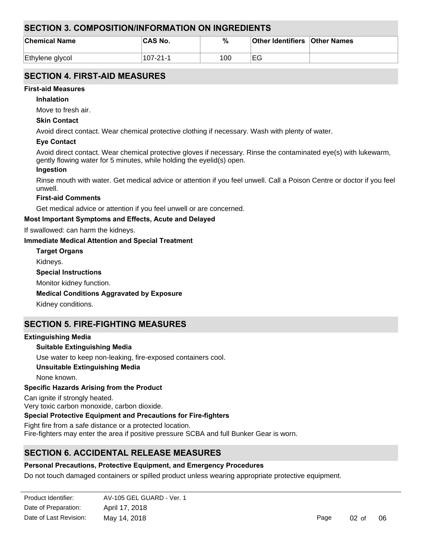## **SECTION 3. COMPOSITION/INFORMATION ON INGREDIENTS**

| <b>Chemical Name</b> | 'CAS No. | $\%$ | <b>Other Identifiers Other Names</b> |  |
|----------------------|----------|------|--------------------------------------|--|
| Ethylene glycol      | 107-21-1 | 100  | EG                                   |  |

## **SECTION 4. FIRST-AID MEASURES**

## **First-aid Measures**

**Inhalation**

Move to fresh air.

### **Skin Contact**

Avoid direct contact. Wear chemical protective clothing if necessary. Wash with plenty of water.

## **Eye Contact**

Avoid direct contact. Wear chemical protective gloves if necessary. Rinse the contaminated eye(s) with lukewarm, gently flowing water for 5 minutes, while holding the eyelid(s) open.

## **Ingestion**

Rinse mouth with water. Get medical advice or attention if you feel unwell. Call a Poison Centre or doctor if you feel unwell.

### **First-aid Comments**

Get medical advice or attention if you feel unwell or are concerned.

## **Most Important Symptoms and Effects, Acute and Delayed**

If swallowed: can harm the kidneys.

### **Immediate Medical Attention and Special Treatment**

**Target Organs**

Kidneys.

**Special Instructions**

Monitor kidney function.

#### **Medical Conditions Aggravated by Exposure**

Kidney conditions.

## **SECTION 5. FIRE-FIGHTING MEASURES**

## **Extinguishing Media**

## **Suitable Extinguishing Media**

Use water to keep non-leaking, fire-exposed containers cool.

## **Unsuitable Extinguishing Media**

None known.

## **Specific Hazards Arising from the Product**

Can ignite if strongly heated.

Very toxic carbon monoxide, carbon dioxide.

## **Special Protective Equipment and Precautions for Fire-fighters**

Fight fire from a safe distance or a protected location. Fire-fighters may enter the area if positive pressure SCBA and full Bunker Gear is worn.

## **SECTION 6. ACCIDENTAL RELEASE MEASURES**

## **Personal Precautions, Protective Equipment, and Emergency Procedures**

Do not touch damaged containers or spilled product unless wearing appropriate protective equipment.

| Product Identifier:    | AV-105 GEL GUARD - Ver. 1 |
|------------------------|---------------------------|
| Date of Preparation:   | April 17, 2018            |
| Date of Last Revision: | May 14, 2018              |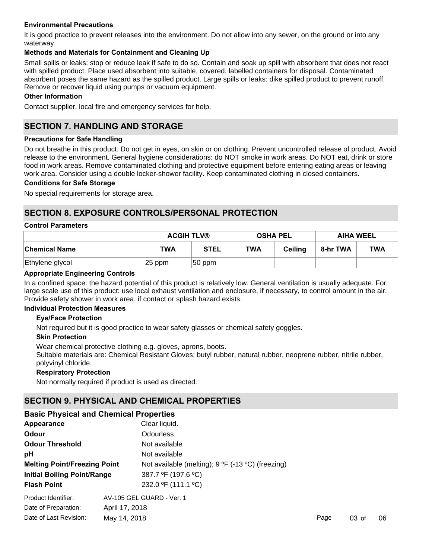## **Environmental Precautions**

It is good practice to prevent releases into the environment. Do not allow into any sewer, on the ground or into any waterway.

## **Methods and Materials for Containment and Cleaning Up**

Small spills or leaks: stop or reduce leak if safe to do so. Contain and soak up spill with absorbent that does not react with spilled product. Place used absorbent into suitable, covered, labelled containers for disposal. Contaminated absorbent poses the same hazard as the spilled product. Large spills or leaks: dike spilled product to prevent runoff. Remove or recover liquid using pumps or vacuum equipment.

## **Other Information**

Contact supplier, local fire and emergency services for help.

## **SECTION 7. HANDLING AND STORAGE**

### **Precautions for Safe Handling**

Do not breathe in this product. Do not get in eyes, on skin or on clothing. Prevent uncontrolled release of product. Avoid release to the environment. General hygiene considerations: do NOT smoke in work areas. Do NOT eat, drink or store food in work areas. Remove contaminated clothing and protective equipment before entering eating areas or leaving work area. Consider using a double locker-shower facility. Keep contaminated clothing in closed containers.

### **Conditions for Safe Storage**

No special requirements for storage area.

## **SECTION 8. EXPOSURE CONTROLS/PERSONAL PROTECTION**

### **Control Parameters**

|                 | <b>ACGIH TLV®</b> |             | <b>OSHA PEL</b> |         | <b>AIHA WEEL</b> |            |
|-----------------|-------------------|-------------|-----------------|---------|------------------|------------|
| ∣Chemical Name  | <b>TWA</b>        | <b>STEL</b> | <b>TWA</b>      | Ceiling | 8-hr TWA         | <b>TWA</b> |
| Ethylene glycol | 25 ppm            | $ 50$ ppm   |                 |         |                  |            |

### **Appropriate Engineering Controls**

In a confined space: the hazard potential of this product is relatively low. General ventilation is usually adequate. For large scale use of this product: use local exhaust ventilation and enclosure, if necessary, to control amount in the air. Provide safety shower in work area, if contact or splash hazard exists.

#### **Individual Protection Measures**

### **Eye/Face Protection**

Not required but it is good practice to wear safety glasses or chemical safety goggles.

#### **Skin Protection**

Wear chemical protective clothing e.g. gloves, aprons, boots.

Suitable materials are: Chemical Resistant Gloves: butyl rubber, natural rubber, neoprene rubber, nitrile rubber, polyvinyl chloride.

## **Respiratory Protection**

Not normally required if product is used as directed.

## **SECTION 9. PHYSICAL AND CHEMICAL PROPERTIES**

| <b>Basic Flivelge and Chemical Flopernes</b> |                    |  |
|----------------------------------------------|--------------------|--|
| Appearance                                   | Clear liquid.      |  |
| $\bigcap$                                    | $\bigcap$ deurless |  |

**Basic Physical and Chemical Properties**

Date of Last Revision: May 14, 2018

| Odour                               |                | Odourless                                         |
|-------------------------------------|----------------|---------------------------------------------------|
| <b>Odour Threshold</b>              |                | Not available                                     |
| рH                                  |                | Not available                                     |
| <b>Melting Point/Freezing Point</b> |                | Not available (melting); 9 °F (-13 °C) (freezing) |
| <b>Initial Boiling Point/Range</b>  |                | 387.7 °F (197.6 °C)                               |
| <b>Flash Point</b>                  |                | 232.0 °F (111.1 °C)                               |
| Product Identifier:                 |                | AV-105 GEL GUARD - Ver. 1                         |
| Date of Preparation:                | April 17, 2018 |                                                   |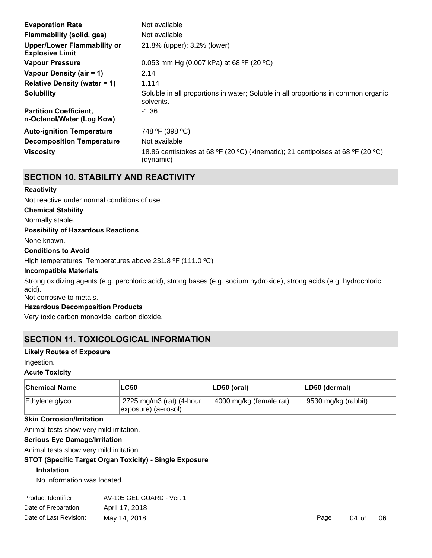| <b>Evaporation Rate</b>                                      | Not available                                                                                  |
|--------------------------------------------------------------|------------------------------------------------------------------------------------------------|
| Flammability (solid, gas)                                    | Not available                                                                                  |
| <b>Upper/Lower Flammability or</b><br><b>Explosive Limit</b> | 21.8% (upper); 3.2% (lower)                                                                    |
| <b>Vapour Pressure</b>                                       | 0.053 mm Hg (0.007 kPa) at 68 °F (20 °C)                                                       |
| Vapour Density (air = 1)                                     | 2.14                                                                                           |
| Relative Density (water = $1$ )                              | 1.114                                                                                          |
| <b>Solubility</b>                                            | Soluble in all proportions in water; Soluble in all proportions in common organic<br>solvents. |
| <b>Partition Coefficient,</b><br>n-Octanol/Water (Log Kow)   | -1.36                                                                                          |
| <b>Auto-ignition Temperature</b>                             | 748 °F (398 °C)                                                                                |
| <b>Decomposition Temperature</b>                             | Not available                                                                                  |
| <b>Viscosity</b>                                             | 18.86 centistokes at 68 °F (20 °C) (kinematic); 21 centipoises at 68 °F (20 °C)<br>(dynamic)   |

## **SECTION 10. STABILITY AND REACTIVITY**

## **Reactivity**

Not reactive under normal conditions of use.

## **Chemical Stability**

Normally stable.

## **Possibility of Hazardous Reactions**

None known.

#### **Conditions to Avoid**

High temperatures. Temperatures above 231.8 °F (111.0 °C)

#### **Incompatible Materials**

Strong oxidizing agents (e.g. perchloric acid), strong bases (e.g. sodium hydroxide), strong acids (e.g. hydrochloric acid).

## Not corrosive to metals.

## **Hazardous Decomposition Products**

Very toxic carbon monoxide, carbon dioxide.

## **SECTION 11. TOXICOLOGICAL INFORMATION**

#### **Likely Routes of Exposure**

Ingestion.

#### **Acute Toxicity**

| <b>Chemical Name</b> | <b>LC50</b>                                                   | $ LD50$ (oral)          | LD50 (dermal)       |
|----------------------|---------------------------------------------------------------|-------------------------|---------------------|
| Ethylene glycol      | $\frac{1}{2}$ 2725 mg/m3 (rat) (4-hour<br>exposure) (aerosol) | 4000 mg/kg (female rat) | 9530 mg/kg (rabbit) |

## **Skin Corrosion/Irritation**

Animal tests show very mild irritation.

## **Serious Eye Damage/Irritation**

Animal tests show very mild irritation.

## **STOT (Specific Target Organ Toxicity) - Single Exposure**

## **Inhalation**

No information was located.

**Product Identifier:** Date of Preparation: April 17, 2018 AV-105 GEL GUARD - Ver. 1 Date of Last Revision: May 14, 2018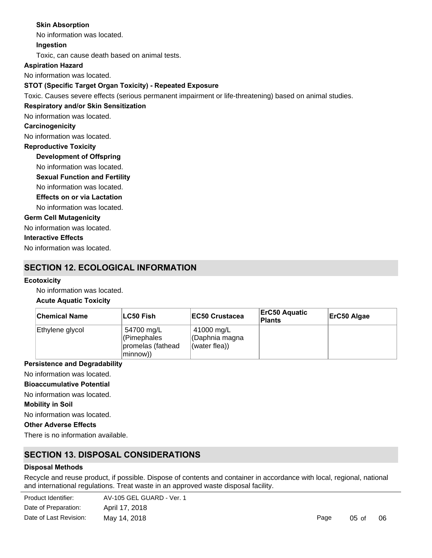## **Skin Absorption**

No information was located.

**Ingestion**

Toxic, can cause death based on animal tests.

**Aspiration Hazard**

No information was located.

## **STOT (Specific Target Organ Toxicity) - Repeated Exposure**

Toxic. Causes severe effects (serious permanent impairment or life-threatening) based on animal studies.

## **Respiratory and/or Skin Sensitization**

No information was located.

### **Carcinogenicity**

No information was located.

## **Reproductive Toxicity**

## **Development of Offspring**

No information was located.

- **Sexual Function and Fertility**
- No information was located.

## **Effects on or via Lactation**

No information was located.

## **Germ Cell Mutagenicity**

No information was located.

## **Interactive Effects**

No information was located.

## **SECTION 12. ECOLOGICAL INFORMATION**

### **Ecotoxicity**

No information was located.

## **Acute Aquatic Toxicity**

| <b>Chemical Name</b> | ∣LC50 Fish                                                 | <b>IEC50 Crustacea</b>                        | <b>ErC50 Aquatic</b><br><b>Plants</b> | ErC50 Algae |
|----------------------|------------------------------------------------------------|-----------------------------------------------|---------------------------------------|-------------|
| Ethylene glycol      | 54700 mg/L<br>(Pimephales<br>promelas (fathead<br>minnow)) | 41000 mg/L<br>CDaphnia magna<br>(water flea)) |                                       |             |

## **Persistence and Degradability**

No information was located.

**Bioaccumulative Potential**

## No information was located.

**Mobility in Soil**

No information was located.

## **Other Adverse Effects**

There is no information available.

## **SECTION 13. DISPOSAL CONSIDERATIONS**

## **Disposal Methods**

Recycle and reuse product, if possible. Dispose of contents and container in accordance with local, regional, national and international regulations. Treat waste in an approved waste disposal facility.

| Product Identifier:    | AV-105 GEL GUARD - Ver. 1 |
|------------------------|---------------------------|
| Date of Preparation:   | April 17, 2018            |
| Date of Last Revision: | May 14, 2018              |